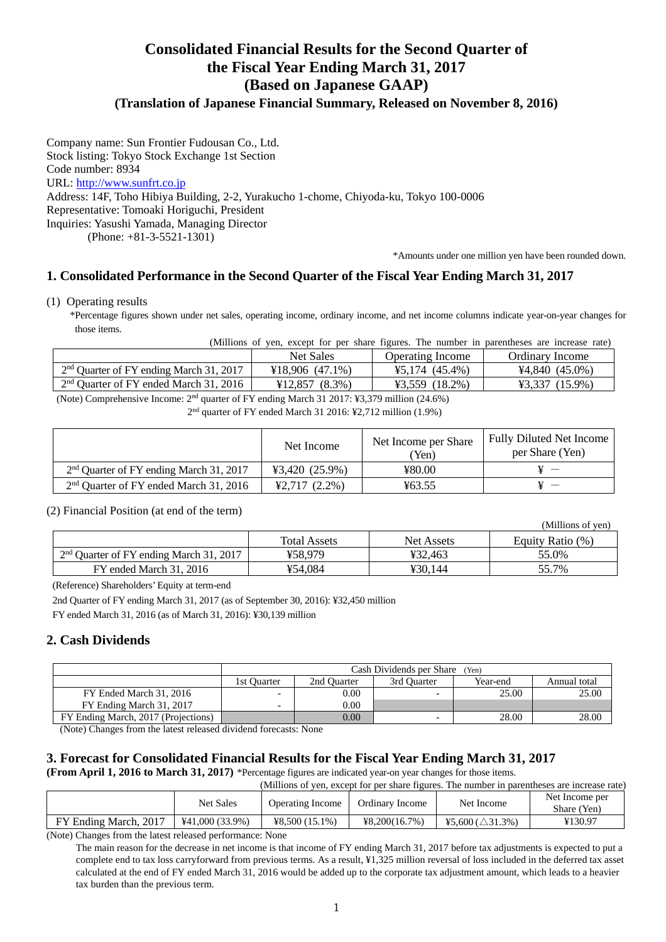# **Consolidated Financial Results for the Second Quarter of the Fiscal Year Ending March 31, 2017 (Based on Japanese GAAP)**

# **(Translation of Japanese Financial Summary, Released on November 8, 2016)**

Company name: Sun Frontier Fudousan Co., Ltd. Stock listing: Tokyo Stock Exchange 1st Section Code number: 8934 URL: http://www.sunfrt.co.jp Address: 14F, Toho Hibiya Building, 2-2, Yurakucho 1-chome, Chiyoda-ku, Tokyo 100-0006 Representative: Tomoaki Horiguchi, President Inquiries: Yasushi Yamada, Managing Director (Phone: +81-3-5521-1301)

\*Amounts under one million yen have been rounded down.

### **1. Consolidated Performance in the Second Quarter of the Fiscal Year Ending March 31, 2017**

(1) Operating results

\*Percentage figures shown under net sales, operating income, ordinary income, and net income columns indicate year-on-year changes for those items.

(Millions of yen, except for per share figures. The number in parentheses are increase rate)

|                                           | <b>Net Sales</b>                                                                                                                                                                                                                                                                                                                                                                                                                                             | Operating Income | Ordinary Income      |  |
|-------------------------------------------|--------------------------------------------------------------------------------------------------------------------------------------------------------------------------------------------------------------------------------------------------------------------------------------------------------------------------------------------------------------------------------------------------------------------------------------------------------------|------------------|----------------------|--|
| $2nd$ Quarter of FY ending March 31, 2017 | ¥18.906(47.1%)                                                                                                                                                                                                                                                                                                                                                                                                                                               | $45,174(45.4\%)$ | $44,840(45.0\%)$     |  |
| $2nd$ Quarter of FY ended March 31, 2016  | $\text{\textsterling}12.857 (8.3\%)$                                                                                                                                                                                                                                                                                                                                                                                                                         | $43,559$ (18.2%) | $(15.9\%)$<br>¥3.337 |  |
| $-1$<br>---<br>2.777                      | $\mathbf{a} \cdot \mathbf{a} \cdot \mathbf{b} = \mathbf{a} \cdot \mathbf{a} + \mathbf{a} \cdot \mathbf{a} + \mathbf{a} \cdot \mathbf{a} + \mathbf{a} \cdot \mathbf{a} + \mathbf{a} \cdot \mathbf{a} + \mathbf{a} \cdot \mathbf{a} + \mathbf{a} \cdot \mathbf{a} + \mathbf{a} \cdot \mathbf{a} + \mathbf{a} \cdot \mathbf{a} + \mathbf{a} \cdot \mathbf{a} + \mathbf{a} \cdot \mathbf{a} + \mathbf{a} \cdot \mathbf{a} + \mathbf{a} \cdot \mathbf{a} + \math$ |                  |                      |  |

(Note) Comprehensive Income: 2nd quarter of FY ending March 31 2017: ¥3,379 million (24.6%)

2 nd quarter of FY ended March 31 2016: ¥2,712 million (1.9%)

|                                           | Net Income       | Net Income per Share<br>(Yen) | <b>Fully Diluted Net Income</b><br>per Share (Yen) |
|-------------------------------------------|------------------|-------------------------------|----------------------------------------------------|
| $2nd$ Quarter of FY ending March 31, 2017 | $43,420(25.9\%)$ | ¥80.00                        |                                                    |
| $2nd$ Quarter of FY ended March 31, 2016  | $42,717(2.2\%)$  | ¥63.55                        | $\sim$ $-$                                         |

#### (2) Financial Position (at end of the term)

|                                           |                     |                   | (Millions of yen) |
|-------------------------------------------|---------------------|-------------------|-------------------|
|                                           | <b>Total Assets</b> | <b>Net Assets</b> | Equity Ratio (%)  |
| $2nd$ Quarter of FY ending March 31, 2017 | ¥58.979             | ¥32.463           | 55.0%             |
| FY ended March 31, 2016                   | ¥54.084             | ¥30.144           | 55.7%             |

(Reference) Shareholders' Equity at term-end

2nd Quarter of FY ending March 31, 2017 (as of September 30, 2016): ¥32,450 million

FY ended March 31, 2016 (as of March 31, 2016): ¥30,139 million

### **2. Cash Dividends**

|                                     | Cash Dividends per Share<br>(Yen) |                                                        |                          |       |       |  |  |  |  |
|-------------------------------------|-----------------------------------|--------------------------------------------------------|--------------------------|-------|-------|--|--|--|--|
|                                     | 1st Ouarter                       | 2nd Ouarter<br>Year-end<br>3rd Ouarter<br>Annual total |                          |       |       |  |  |  |  |
| FY Ended March 31, 2016             | $\overline{\phantom{0}}$          | 0.00                                                   | $\overline{\phantom{0}}$ | 25.00 | 25.00 |  |  |  |  |
| FY Ending March 31, 2017            | $\overline{\phantom{0}}$          | 0.00                                                   |                          |       |       |  |  |  |  |
| FY Ending March, 2017 (Projections) |                                   | 28.00<br>0.00<br>28.00                                 |                          |       |       |  |  |  |  |

(Note) Changes from the latest released dividend forecasts: None

## **3. Forecast for Consolidated Financial Results for the Fiscal Year Ending March 31, 2017**

**(From April 1, 2016 to March 31, 2017)** \*Percentage figures are indicated year-on year changes for those items.

(Millions of yen, except for per share figures. The number in parentheses are increase rate)

|                       | <b>Net Sales</b>  | Operating Income | Ordinary Income | Net Income                  | Net Income per<br>Share (Yen) |
|-----------------------|-------------------|------------------|-----------------|-----------------------------|-------------------------------|
| FY Ending March, 2017 | $441,000(33.9\%)$ | $48,500(15.1\%)$ | 48.200(16.7%)   | ¥5.600 ( $\triangle$ 31.3%) | ¥130.97                       |

(Note) Changes from the latest released performance: None

The main reason for the decrease in net income is that income of FY ending March 31, 2017 before tax adjustments is expected to put a complete end to tax loss carryforward from previous terms. As a result, ¥1,325 million reversal of loss included in the deferred tax asset calculated at the end of FY ended March 31, 2016 would be added up to the corporate tax adjustment amount, which leads to a heavier tax burden than the previous term.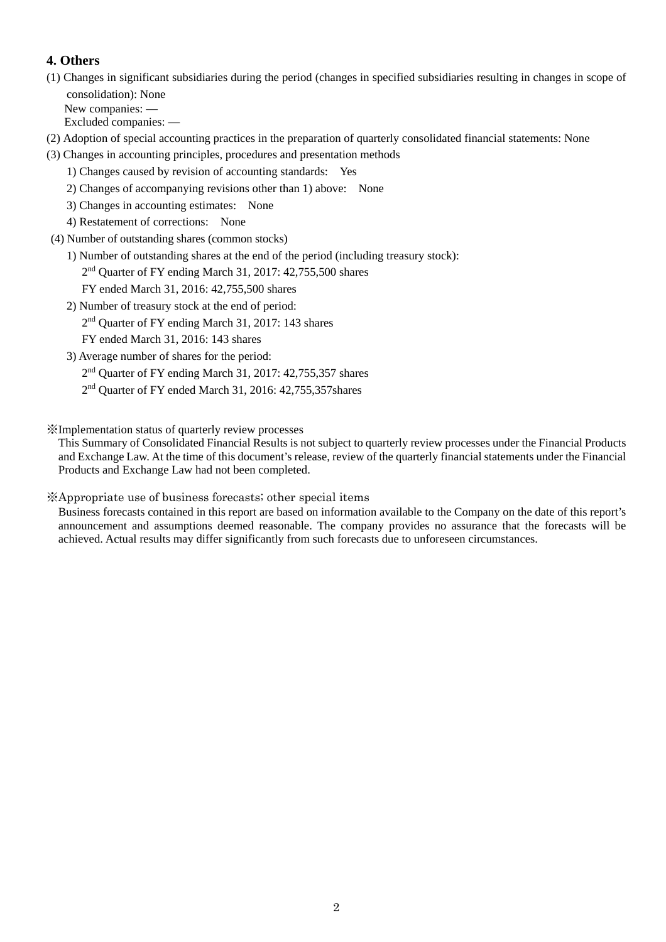# **4. Others**

(1) Changes in significant subsidiaries during the period (changes in specified subsidiaries resulting in changes in scope of consolidation): None New companies: —

Excluded companies: —

- (2) Adoption of special accounting practices in the preparation of quarterly consolidated financial statements: None
- (3) Changes in accounting principles, procedures and presentation methods
	- 1) Changes caused by revision of accounting standards: Yes
	- 2) Changes of accompanying revisions other than 1) above: None
	- 3) Changes in accounting estimates: None
	- 4) Restatement of corrections: None
- (4) Number of outstanding shares (common stocks)
	- 1) Number of outstanding shares at the end of the period (including treasury stock):
	- 2<sup>nd</sup> Quarter of FY ending March 31, 2017: 42,755,500 shares
		- FY ended March 31, 2016: 42,755,500 shares
	- 2) Number of treasury stock at the end of period:
		- 2<sup>nd</sup> Quarter of FY ending March 31, 2017: 143 shares

FY ended March 31, 2016: 143 shares

- 3) Average number of shares for the period:
	- 2<sup>nd</sup> Quarter of FY ending March 31, 2017: 42,755,357 shares
	- 2 nd Quarter of FY ended March 31, 2016: 42,755,357shares

※Implementation status of quarterly review processes

This Summary of Consolidated Financial Results is not subject to quarterly review processes under the Financial Products and Exchange Law. At the time of this document's release, review of the quarterly financial statements under the Financial Products and Exchange Law had not been completed.

## ※Appropriate use of business forecasts; other special items

Business forecasts contained in this report are based on information available to the Company on the date of this report's announcement and assumptions deemed reasonable. The company provides no assurance that the forecasts will be achieved. Actual results may differ significantly from such forecasts due to unforeseen circumstances.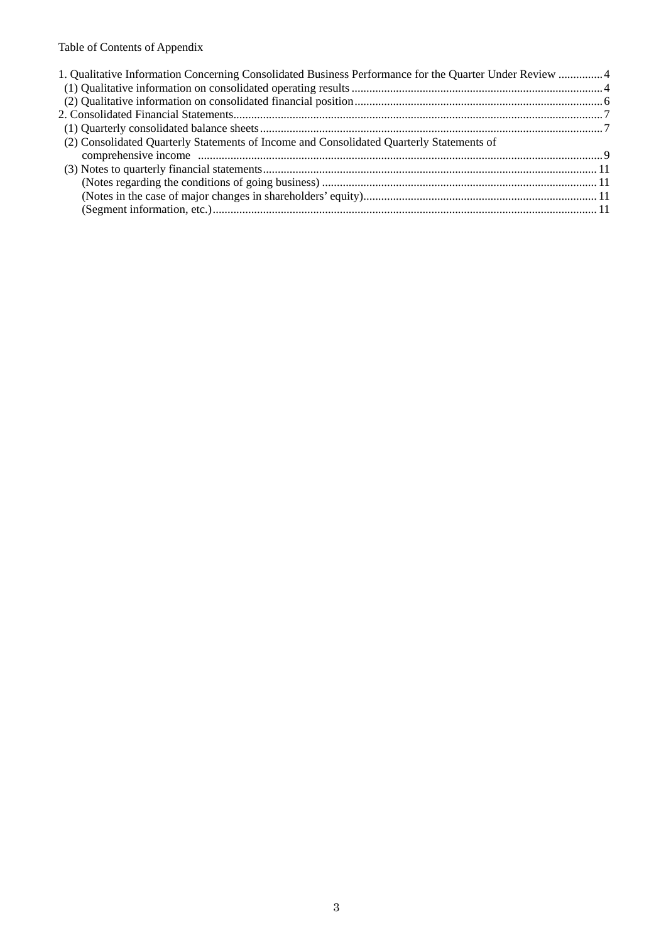# Table of Contents of Appendix

| 1. Qualitative Information Concerning Consolidated Business Performance for the Quarter Under Review  4 |  |
|---------------------------------------------------------------------------------------------------------|--|
|                                                                                                         |  |
|                                                                                                         |  |
|                                                                                                         |  |
|                                                                                                         |  |
| (2) Consolidated Quarterly Statements of Income and Consolidated Quarterly Statements of                |  |
|                                                                                                         |  |
|                                                                                                         |  |
|                                                                                                         |  |
|                                                                                                         |  |
|                                                                                                         |  |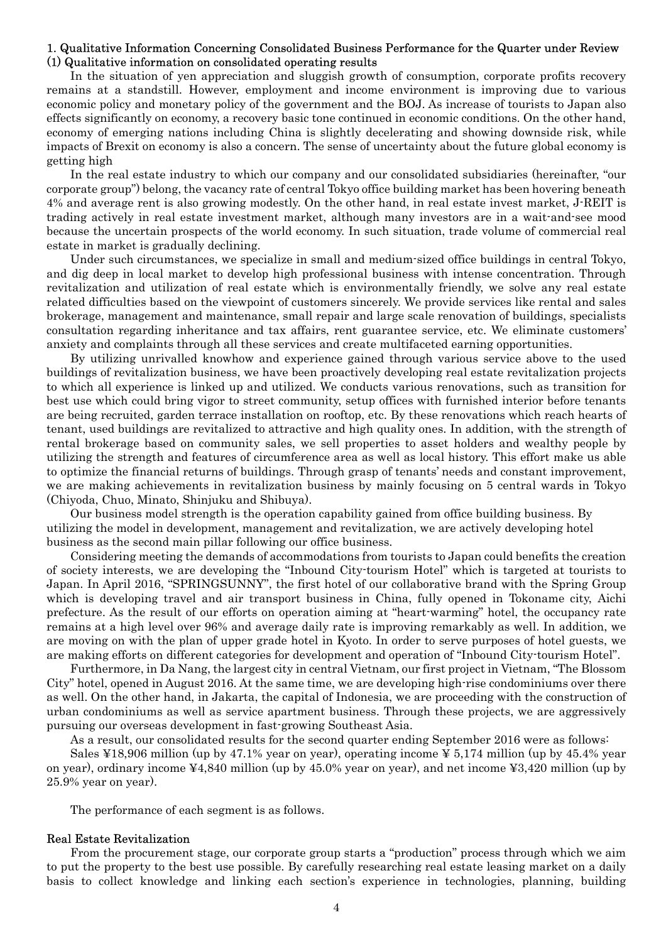### 1. Qualitative Information Concerning Consolidated Business Performance for the Quarter under Review (1) Qualitative information on consolidated operating results

In the situation of yen appreciation and sluggish growth of consumption, corporate profits recovery remains at a standstill. However, employment and income environment is improving due to various economic policy and monetary policy of the government and the BOJ. As increase of tourists to Japan also effects significantly on economy, a recovery basic tone continued in economic conditions. On the other hand, economy of emerging nations including China is slightly decelerating and showing downside risk, while impacts of Brexit on economy is also a concern. The sense of uncertainty about the future global economy is getting high

In the real estate industry to which our company and our consolidated subsidiaries (hereinafter, "our corporate group") belong, the vacancy rate of central Tokyo office building market has been hovering beneath 4% and average rent is also growing modestly. On the other hand, in real estate invest market, J-REIT is trading actively in real estate investment market, although many investors are in a wait-and-see mood because the uncertain prospects of the world economy. In such situation, trade volume of commercial real estate in market is gradually declining.

Under such circumstances, we specialize in small and medium-sized office buildings in central Tokyo, and dig deep in local market to develop high professional business with intense concentration. Through revitalization and utilization of real estate which is environmentally friendly, we solve any real estate related difficulties based on the viewpoint of customers sincerely. We provide services like rental and sales brokerage, management and maintenance, small repair and large scale renovation of buildings, specialists consultation regarding inheritance and tax affairs, rent guarantee service, etc. We eliminate customers' anxiety and complaints through all these services and create multifaceted earning opportunities.

By utilizing unrivalled knowhow and experience gained through various service above to the used buildings of revitalization business, we have been proactively developing real estate revitalization projects to which all experience is linked up and utilized. We conducts various renovations, such as transition for best use which could bring vigor to street community, setup offices with furnished interior before tenants are being recruited, garden terrace installation on rooftop, etc. By these renovations which reach hearts of tenant, used buildings are revitalized to attractive and high quality ones. In addition, with the strength of rental brokerage based on community sales, we sell properties to asset holders and wealthy people by utilizing the strength and features of circumference area as well as local history. This effort make us able to optimize the financial returns of buildings. Through grasp of tenants' needs and constant improvement, we are making achievements in revitalization business by mainly focusing on 5 central wards in Tokyo (Chiyoda, Chuo, Minato, Shinjuku and Shibuya).

Our business model strength is the operation capability gained from office building business. By utilizing the model in development, management and revitalization, we are actively developing hotel business as the second main pillar following our office business.

Considering meeting the demands of accommodations from tourists to Japan could benefits the creation of society interests, we are developing the "Inbound City-tourism Hotel" which is targeted at tourists to Japan. In April 2016, "SPRINGSUNNY", the first hotel of our collaborative brand with the Spring Group which is developing travel and air transport business in China, fully opened in Tokoname city, Aichi prefecture. As the result of our efforts on operation aiming at "heart-warming" hotel, the occupancy rate remains at a high level over 96% and average daily rate is improving remarkably as well. In addition, we are moving on with the plan of upper grade hotel in Kyoto. In order to serve purposes of hotel guests, we are making efforts on different categories for development and operation of "Inbound City-tourism Hotel".

Furthermore, in Da Nang, the largest city in central Vietnam, our first project in Vietnam, "The Blossom City" hotel, opened in August 2016. At the same time, we are developing high-rise condominiums over there as well. On the other hand, in Jakarta, the capital of Indonesia, we are proceeding with the construction of urban condominiums as well as service apartment business. Through these projects, we are aggressively pursuing our overseas development in fast-growing Southeast Asia.

As a result, our consolidated results for the second quarter ending September 2016 were as follows:

Sales ¥18,906 million (up by 47.1% year on year), operating income ¥ 5,174 million (up by 45.4% year on year), ordinary income ¥4,840 million (up by 45.0% year on year), and net income ¥3,420 million (up by 25.9% year on year).

The performance of each segment is as follows.

#### Real Estate Revitalization

From the procurement stage, our corporate group starts a "production" process through which we aim to put the property to the best use possible. By carefully researching real estate leasing market on a daily basis to collect knowledge and linking each section's experience in technologies, planning, building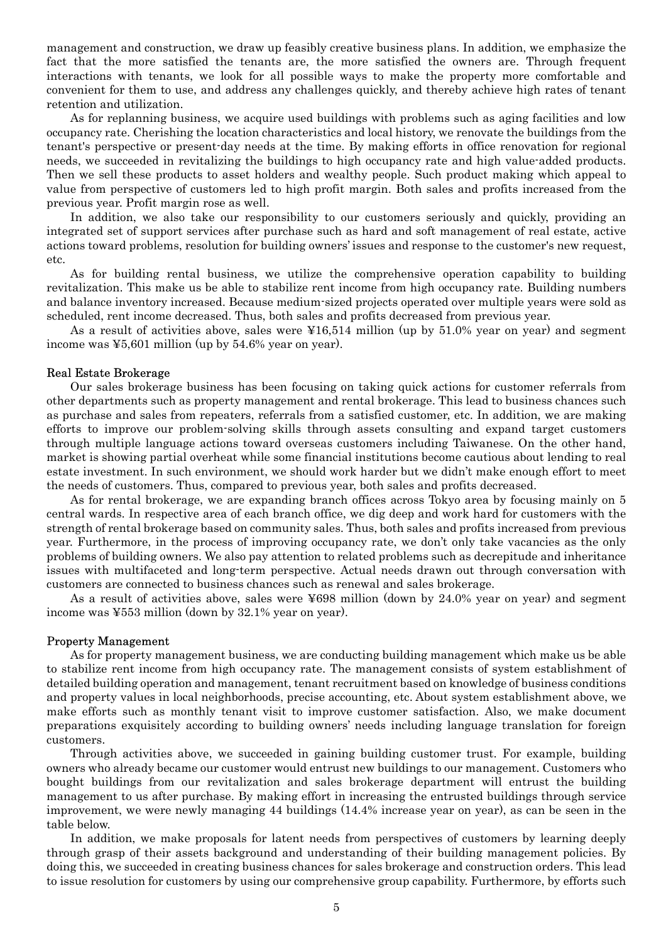management and construction, we draw up feasibly creative business plans. In addition, we emphasize the fact that the more satisfied the tenants are, the more satisfied the owners are. Through frequent interactions with tenants, we look for all possible ways to make the property more comfortable and convenient for them to use, and address any challenges quickly, and thereby achieve high rates of tenant retention and utilization.

As for replanning business, we acquire used buildings with problems such as aging facilities and low occupancy rate. Cherishing the location characteristics and local history, we renovate the buildings from the tenant's perspective or present-day needs at the time. By making efforts in office renovation for regional needs, we succeeded in revitalizing the buildings to high occupancy rate and high value-added products. Then we sell these products to asset holders and wealthy people. Such product making which appeal to value from perspective of customers led to high profit margin. Both sales and profits increased from the previous year. Profit margin rose as well.

In addition, we also take our responsibility to our customers seriously and quickly, providing an integrated set of support services after purchase such as hard and soft management of real estate, active actions toward problems, resolution for building owners' issues and response to the customer's new request, etc.

As for building rental business, we utilize the comprehensive operation capability to building revitalization. This make us be able to stabilize rent income from high occupancy rate. Building numbers and balance inventory increased. Because medium-sized projects operated over multiple years were sold as scheduled, rent income decreased. Thus, both sales and profits decreased from previous year.

As a result of activities above, sales were ¥16,514 million (up by 51.0% year on year) and segment income was ¥5,601 million (up by 54.6% year on year).

#### Real Estate Brokerage

Our sales brokerage business has been focusing on taking quick actions for customer referrals from other departments such as property management and rental brokerage. This lead to business chances such as purchase and sales from repeaters, referrals from a satisfied customer, etc. In addition, we are making efforts to improve our problem-solving skills through assets consulting and expand target customers through multiple language actions toward overseas customers including Taiwanese. On the other hand, market is showing partial overheat while some financial institutions become cautious about lending to real estate investment. In such environment, we should work harder but we didn't make enough effort to meet the needs of customers. Thus, compared to previous year, both sales and profits decreased.

As for rental brokerage, we are expanding branch offices across Tokyo area by focusing mainly on 5 central wards. In respective area of each branch office, we dig deep and work hard for customers with the strength of rental brokerage based on community sales. Thus, both sales and profits increased from previous year. Furthermore, in the process of improving occupancy rate, we don't only take vacancies as the only problems of building owners. We also pay attention to related problems such as decrepitude and inheritance issues with multifaceted and long-term perspective. Actual needs drawn out through conversation with customers are connected to business chances such as renewal and sales brokerage.

As a result of activities above, sales were ¥698 million (down by 24.0% year on year) and segment income was ¥553 million (down by 32.1% year on year).

#### Property Management

As for property management business, we are conducting building management which make us be able to stabilize rent income from high occupancy rate. The management consists of system establishment of detailed building operation and management, tenant recruitment based on knowledge of business conditions and property values in local neighborhoods, precise accounting, etc. About system establishment above, we make efforts such as monthly tenant visit to improve customer satisfaction. Also, we make document preparations exquisitely according to building owners' needs including language translation for foreign customers.

Through activities above, we succeeded in gaining building customer trust. For example, building owners who already became our customer would entrust new buildings to our management. Customers who bought buildings from our revitalization and sales brokerage department will entrust the building management to us after purchase. By making effort in increasing the entrusted buildings through service improvement, we were newly managing 44 buildings (14.4% increase year on year), as can be seen in the table below.

In addition, we make proposals for latent needs from perspectives of customers by learning deeply through grasp of their assets background and understanding of their building management policies. By doing this, we succeeded in creating business chances for sales brokerage and construction orders. This lead to issue resolution for customers by using our comprehensive group capability. Furthermore, by efforts such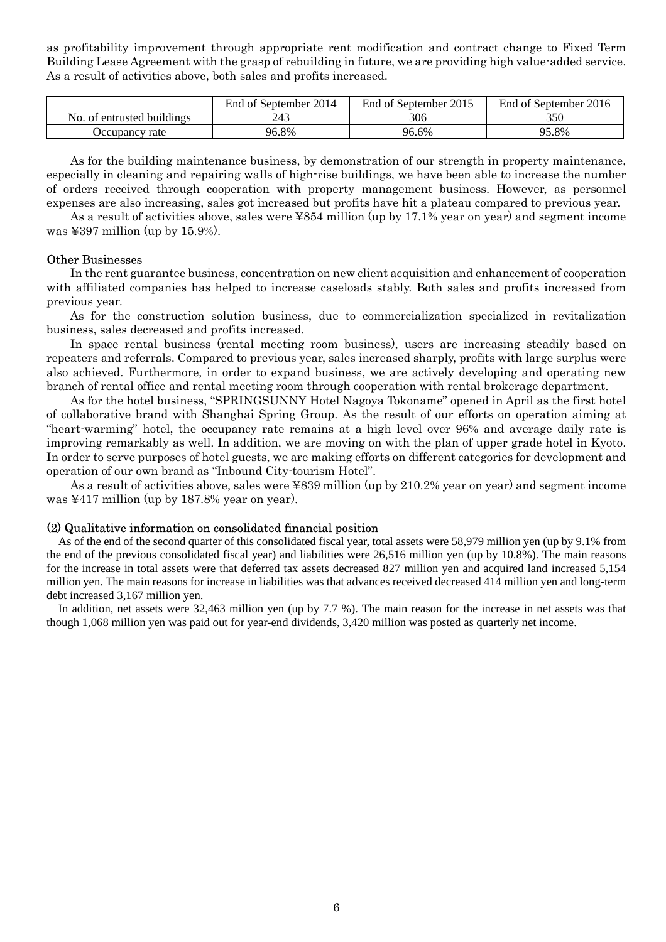as profitability improvement through appropriate rent modification and contract change to Fixed Term Building Lease Agreement with the grasp of rebuilding in future, we are providing high value-added service. As a result of activities above, both sales and profits increased.

|                            | End of September 2014 | End of September 2015 | End of September 2016 |
|----------------------------|-----------------------|-----------------------|-----------------------|
| No. of entrusted buildings | 243                   | 306                   | 350                   |
| Occupancy rate             | 96.8%                 | 96.6%                 | 95.8%                 |

As for the building maintenance business, by demonstration of our strength in property maintenance, especially in cleaning and repairing walls of high-rise buildings, we have been able to increase the number of orders received through cooperation with property management business. However, as personnel expenses are also increasing, sales got increased but profits have hit a plateau compared to previous year.

As a result of activities above, sales were ¥854 million (up by 17.1% year on year) and segment income was ¥397 million (up by 15.9%).

#### Other Businesses

In the rent guarantee business, concentration on new client acquisition and enhancement of cooperation with affiliated companies has helped to increase caseloads stably. Both sales and profits increased from previous year.

As for the construction solution business, due to commercialization specialized in revitalization business, sales decreased and profits increased.

In space rental business (rental meeting room business), users are increasing steadily based on repeaters and referrals. Compared to previous year, sales increased sharply, profits with large surplus were also achieved. Furthermore, in order to expand business, we are actively developing and operating new branch of rental office and rental meeting room through cooperation with rental brokerage department.

As for the hotel business, "SPRINGSUNNY Hotel Nagoya Tokoname" opened in April as the first hotel of collaborative brand with Shanghai Spring Group. As the result of our efforts on operation aiming at "heart-warming" hotel, the occupancy rate remains at a high level over 96% and average daily rate is improving remarkably as well. In addition, we are moving on with the plan of upper grade hotel in Kyoto. In order to serve purposes of hotel guests, we are making efforts on different categories for development and operation of our own brand as "Inbound City-tourism Hotel".

As a result of activities above, sales were ¥839 million (up by 210.2% year on year) and segment income was ¥417 million (up by 187.8% year on year).

#### (2) Qualitative information on consolidated financial position

As of the end of the second quarter of this consolidated fiscal year, total assets were 58,979 million yen (up by 9.1% from the end of the previous consolidated fiscal year) and liabilities were 26,516 million yen (up by 10.8%). The main reasons for the increase in total assets were that deferred tax assets decreased 827 million yen and acquired land increased 5,154 million yen. The main reasons for increase in liabilities was that advances received decreased 414 million yen and long-term debt increased 3,167 million yen.

In addition, net assets were 32,463 million yen (up by 7.7 %). The main reason for the increase in net assets was that though 1,068 million yen was paid out for year-end dividends, 3,420 million was posted as quarterly net income.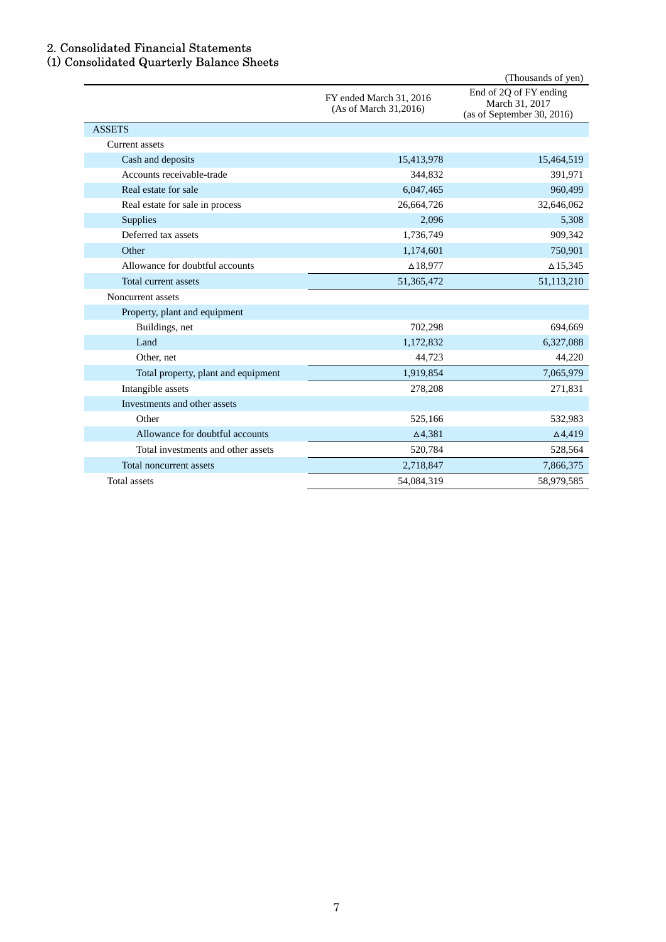### 2. Consolidated Financial Statements

#### (1) Consolidated Quarterly Balance Sheets

|                                     |                                                  | (Thousands of yen)                                                     |
|-------------------------------------|--------------------------------------------------|------------------------------------------------------------------------|
|                                     | FY ended March 31, 2016<br>(As of March 31,2016) | End of 2Q of FY ending<br>March 31, 2017<br>(as of September 30, 2016) |
| <b>ASSETS</b>                       |                                                  |                                                                        |
| <b>Current</b> assets               |                                                  |                                                                        |
| Cash and deposits                   | 15,413,978                                       | 15,464,519                                                             |
| Accounts receivable-trade           | 344,832                                          | 391,971                                                                |
| Real estate for sale                | 6,047,465                                        | 960,499                                                                |
| Real estate for sale in process     | 26,664,726                                       | 32,646,062                                                             |
| <b>Supplies</b>                     | 2,096                                            | 5,308                                                                  |
| Deferred tax assets                 | 1,736,749                                        | 909,342                                                                |
| Other                               | 1,174,601                                        | 750,901                                                                |
| Allowance for doubtful accounts     | $\triangle$ 18,977                               | $\Delta$ 15,345                                                        |
| Total current assets                | 51,365,472                                       | 51,113,210                                                             |
| Noncurrent assets                   |                                                  |                                                                        |
| Property, plant and equipment       |                                                  |                                                                        |
| Buildings, net                      | 702,298                                          | 694,669                                                                |
| Land                                | 1,172,832                                        | 6,327,088                                                              |
| Other, net                          | 44,723                                           | 44,220                                                                 |
| Total property, plant and equipment | 1,919,854                                        | 7,065,979                                                              |
| Intangible assets                   | 278,208                                          | 271,831                                                                |
| Investments and other assets        |                                                  |                                                                        |
| Other                               | 525,166                                          | 532,983                                                                |
| Allowance for doubtful accounts     | $\Delta$ 4,381                                   | $\Delta$ 4,419                                                         |
| Total investments and other assets  | 520,784                                          | 528,564                                                                |
| Total noncurrent assets             | 2,718,847                                        | 7,866,375                                                              |
| <b>Total assets</b>                 | 54,084,319                                       | 58,979,585                                                             |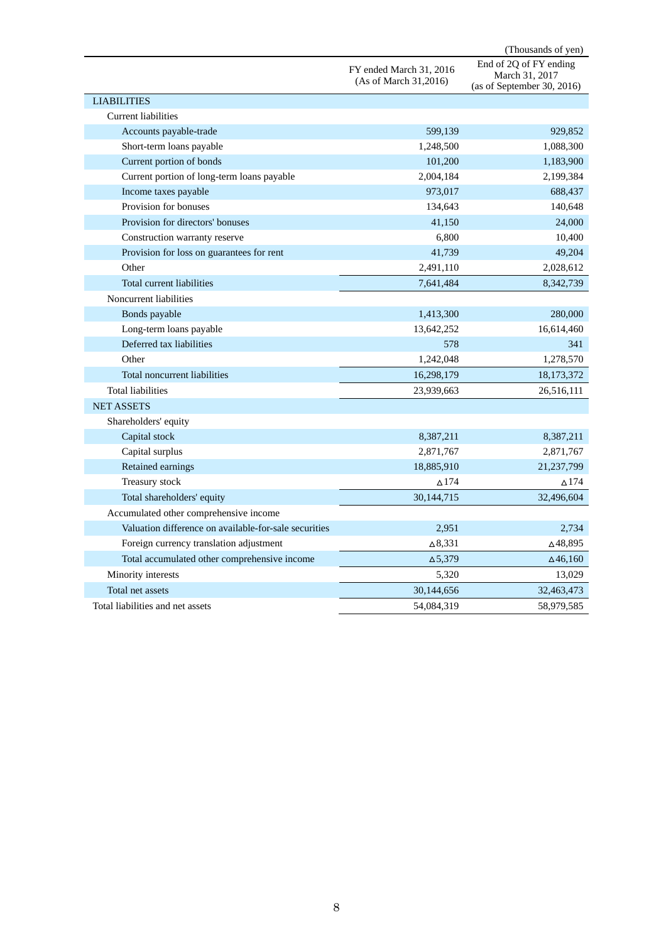|                                                       |                                                  | (Thousands of yen)                                                     |
|-------------------------------------------------------|--------------------------------------------------|------------------------------------------------------------------------|
|                                                       | FY ended March 31, 2016<br>(As of March 31,2016) | End of 2Q of FY ending<br>March 31, 2017<br>(as of September 30, 2016) |
| <b>LIABILITIES</b>                                    |                                                  |                                                                        |
| Current liabilities                                   |                                                  |                                                                        |
| Accounts payable-trade                                | 599,139                                          | 929,852                                                                |
| Short-term loans payable                              | 1,248,500                                        | 1,088,300                                                              |
| Current portion of bonds                              | 101,200                                          | 1,183,900                                                              |
| Current portion of long-term loans payable            | 2,004,184                                        | 2,199,384                                                              |
| Income taxes payable                                  | 973,017                                          | 688,437                                                                |
| Provision for bonuses                                 | 134,643                                          | 140,648                                                                |
| Provision for directors' bonuses                      | 41,150                                           | 24,000                                                                 |
| Construction warranty reserve                         | 6,800                                            | 10,400                                                                 |
| Provision for loss on guarantees for rent             | 41,739                                           | 49,204                                                                 |
| Other                                                 | 2,491,110                                        | 2,028,612                                                              |
| Total current liabilities                             | 7,641,484                                        | 8,342,739                                                              |
| Noncurrent liabilities                                |                                                  |                                                                        |
| Bonds payable                                         | 1,413,300                                        | 280,000                                                                |
| Long-term loans payable                               | 13,642,252                                       | 16,614,460                                                             |
| Deferred tax liabilities                              | 578                                              | 341                                                                    |
| Other                                                 | 1,242,048                                        | 1,278,570                                                              |
| Total noncurrent liabilities                          | 16,298,179                                       | 18, 173, 372                                                           |
| <b>Total liabilities</b>                              | 23,939,663                                       | 26,516,111                                                             |
| <b>NET ASSETS</b>                                     |                                                  |                                                                        |
| Shareholders' equity                                  |                                                  |                                                                        |
| Capital stock                                         | 8,387,211                                        | 8,387,211                                                              |
| Capital surplus                                       | 2,871,767                                        | 2,871,767                                                              |
| Retained earnings                                     | 18,885,910                                       | 21,237,799                                                             |
| Treasury stock                                        | $\Delta$ 174                                     | $\triangle$ 174                                                        |
| Total shareholders' equity                            | 30,144,715                                       | 32,496,604                                                             |
| Accumulated other comprehensive income                |                                                  |                                                                        |
| Valuation difference on available-for-sale securities | 2,951                                            | 2,734                                                                  |
| Foreign currency translation adjustment               | $\Delta$ 8,331                                   | ∆48,895                                                                |
| Total accumulated other comprehensive income          | $\Delta$ 5,379                                   | $\Delta$ 46,160                                                        |
| Minority interests                                    | 5,320                                            | 13,029                                                                 |
| Total net assets                                      | 30,144,656                                       | 32,463,473                                                             |
| Total liabilities and net assets                      | 54,084,319                                       | 58,979,585                                                             |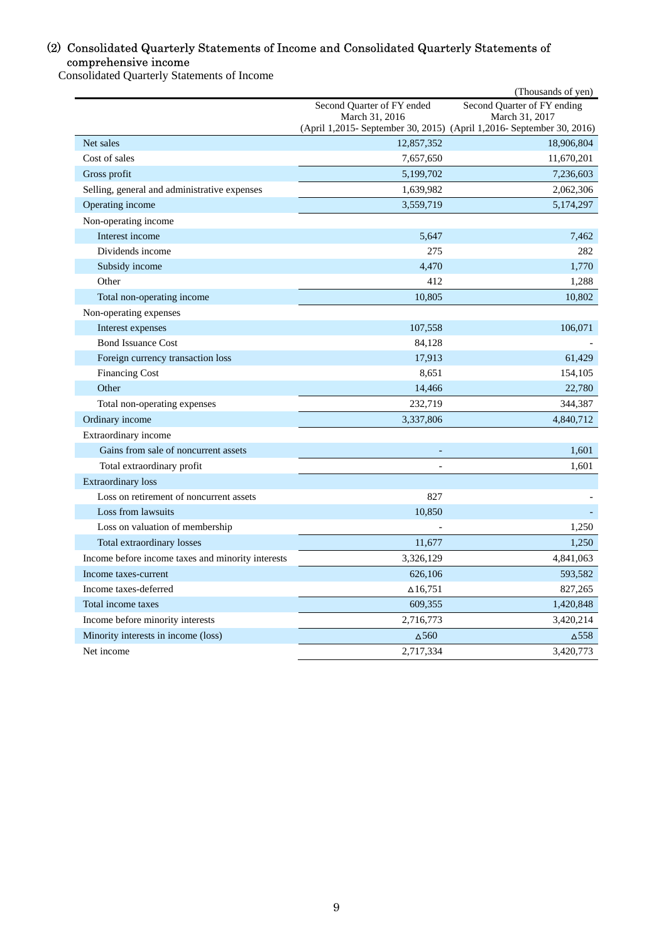# (2) Consolidated Quarterly Statements of Income and Consolidated Quarterly Statements of comprehensive income

Consolidated Quarterly Statements of Income

|                                                                           |                            | (Thousands of yen)                                                                  |
|---------------------------------------------------------------------------|----------------------------|-------------------------------------------------------------------------------------|
|                                                                           | Second Quarter of FY ended | Second Quarter of FY ending                                                         |
|                                                                           | March 31, 2016             | March 31, 2017                                                                      |
| Net sales                                                                 | 12,857,352                 | (April 1,2015- September 30, 2015) (April 1,2016- September 30, 2016)<br>18,906,804 |
| Cost of sales                                                             | 7,657,650                  | 11,670,201                                                                          |
| Gross profit                                                              | 5,199,702                  | 7,236,603                                                                           |
| Selling, general and administrative expenses                              | 1,639,982                  | 2,062,306                                                                           |
| Operating income                                                          | 3,559,719                  | 5, 174, 297                                                                         |
| Non-operating income                                                      |                            |                                                                                     |
| Interest income                                                           | 5,647                      | 7,462                                                                               |
| Dividends income                                                          | 275                        | 282                                                                                 |
| Subsidy income                                                            | 4,470                      | 1,770                                                                               |
| Other                                                                     | 412                        | 1,288                                                                               |
| Total non-operating income                                                | 10,805                     | 10,802                                                                              |
| Non-operating expenses                                                    |                            |                                                                                     |
| Interest expenses                                                         | 107,558                    | 106,071                                                                             |
| <b>Bond Issuance Cost</b>                                                 | 84,128                     |                                                                                     |
| Foreign currency transaction loss                                         | 17,913                     | 61,429                                                                              |
| <b>Financing Cost</b>                                                     | 8,651                      | 154,105                                                                             |
| Other                                                                     | 14,466                     | 22,780                                                                              |
| Total non-operating expenses                                              | 232,719                    | 344,387                                                                             |
| Ordinary income                                                           | 3,337,806                  | 4,840,712                                                                           |
| Extraordinary income                                                      |                            |                                                                                     |
| Gains from sale of noncurrent assets                                      |                            | 1,601                                                                               |
| Total extraordinary profit                                                |                            | 1.601                                                                               |
| Extraordinary loss                                                        |                            |                                                                                     |
| Loss on retirement of noncurrent assets                                   | 827                        |                                                                                     |
| Loss from lawsuits                                                        | 10,850                     |                                                                                     |
| Loss on valuation of membership                                           |                            | 1,250                                                                               |
| Total extraordinary losses                                                | 11,677                     | 1,250                                                                               |
|                                                                           | 3,326,129                  |                                                                                     |
| Income before income taxes and minority interests<br>Income taxes-current | 626,106                    | 4,841,063<br>593,582                                                                |
| Income taxes-deferred                                                     | $\Delta$ 16,751            | 827,265                                                                             |
| Total income taxes                                                        | 609,355                    | 1,420,848                                                                           |
|                                                                           |                            |                                                                                     |
| Income before minority interests                                          | 2,716,773                  | 3,420,214                                                                           |
| Minority interests in income (loss)                                       | $\Delta$ 560               | $\Delta$ 558                                                                        |
| Net income                                                                | 2,717,334                  | 3,420,773                                                                           |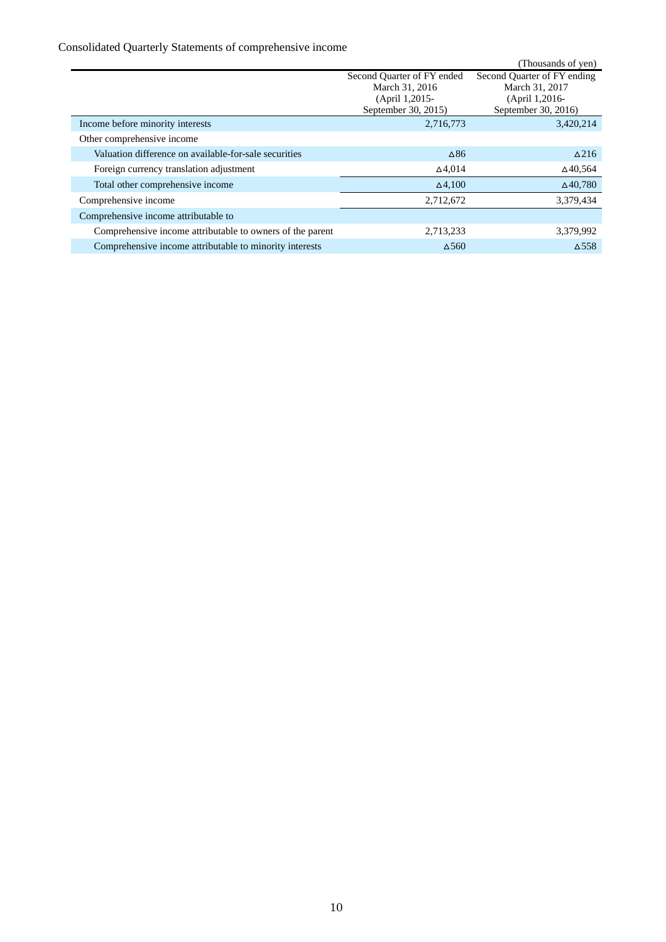# Consolidated Quarterly Statements of comprehensive income

|                                                           |                            | (Thousands of yen)          |
|-----------------------------------------------------------|----------------------------|-----------------------------|
|                                                           | Second Quarter of FY ended | Second Quarter of FY ending |
|                                                           | March 31, 2016             | March 31, 2017              |
|                                                           | (April 1,2015-             | (April 1,2016-              |
|                                                           | September 30, 2015)        | September 30, 2016)         |
| Income before minority interests                          | 2,716,773                  | 3,420,214                   |
| Other comprehensive income                                |                            |                             |
| Valuation difference on available-for-sale securities     | $\Delta 86$                | $\triangle$ 216             |
| Foreign currency translation adjustment                   | $\Delta$ 4,014             | $\Delta$ 40.564             |
| Total other comprehensive income                          | $\Delta$ 4,100             | $\Delta$ 40,780             |
| Comprehensive income                                      | 2,712,672                  | 3,379,434                   |
| Comprehensive income attributable to                      |                            |                             |
| Comprehensive income attributable to owners of the parent | 2,713,233                  | 3,379,992                   |
| Comprehensive income attributable to minority interests   | $\Delta$ 560               | $\triangle$ 558             |